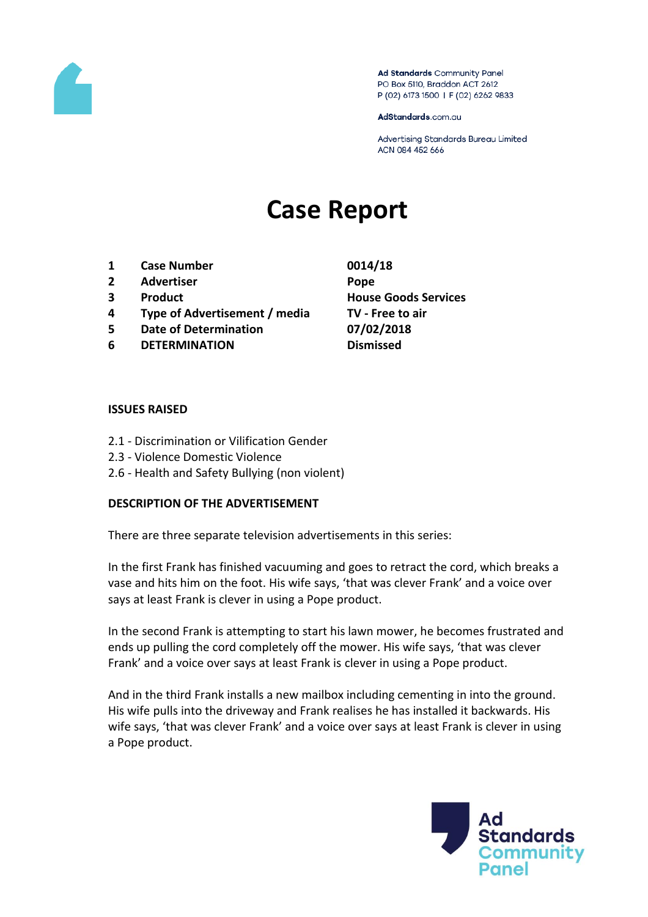

Ad Standards Community Panel PO Box 5110, Braddon ACT 2612 P (02) 6173 1500 | F (02) 6262 9833

AdStandards.com.au

Advertising Standards Bureau Limited ACN 084 452 666

# **Case Report**

- **1 Case Number 0014/18**
- **2 Advertiser Pope**
- 
- **4 Type of Advertisement / media TV - Free to air**
- **5 Date of Determination 07/02/2018**
- **6 DETERMINATION Dismissed**
- **3 Product House Goods Services**

#### **ISSUES RAISED**

- 2.1 Discrimination or Vilification Gender
- 2.3 Violence Domestic Violence
- 2.6 Health and Safety Bullying (non violent)

## **DESCRIPTION OF THE ADVERTISEMENT**

There are three separate television advertisements in this series:

In the first Frank has finished vacuuming and goes to retract the cord, which breaks a vase and hits him on the foot. His wife says, 'that was clever Frank' and a voice over says at least Frank is clever in using a Pope product.

In the second Frank is attempting to start his lawn mower, he becomes frustrated and ends up pulling the cord completely off the mower. His wife says, 'that was clever Frank' and a voice over says at least Frank is clever in using a Pope product.

And in the third Frank installs a new mailbox including cementing in into the ground. His wife pulls into the driveway and Frank realises he has installed it backwards. His wife says, 'that was clever Frank' and a voice over says at least Frank is clever in using a Pope product.

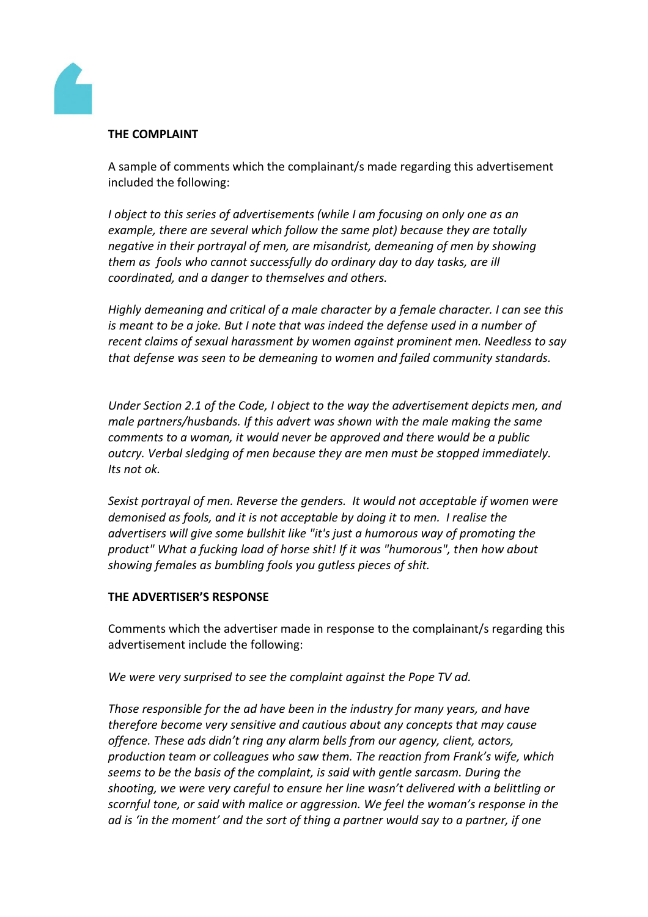

## **THE COMPLAINT**

A sample of comments which the complainant/s made regarding this advertisement included the following:

*I object to this series of advertisements (while I am focusing on only one as an example, there are several which follow the same plot) because they are totally negative in their portrayal of men, are misandrist, demeaning of men by showing them as fools who cannot successfully do ordinary day to day tasks, are ill coordinated, and a danger to themselves and others.*

*Highly demeaning and critical of a male character by a female character. I can see this is meant to be a joke. But I note that was indeed the defense used in a number of recent claims of sexual harassment by women against prominent men. Needless to say that defense was seen to be demeaning to women and failed community standards.*

*Under Section 2.1 of the Code, I object to the way the advertisement depicts men, and male partners/husbands. If this advert was shown with the male making the same comments to a woman, it would never be approved and there would be a public outcry. Verbal sledging of men because they are men must be stopped immediately. Its not ok.*

*Sexist portrayal of men. Reverse the genders. It would not acceptable if women were demonised as fools, and it is not acceptable by doing it to men. I realise the advertisers will give some bullshit like "it's just a humorous way of promoting the product" What a fucking load of horse shit! If it was "humorous", then how about showing females as bumbling fools you gutless pieces of shit.*

## **THE ADVERTISER'S RESPONSE**

Comments which the advertiser made in response to the complainant/s regarding this advertisement include the following:

*We were very surprised to see the complaint against the Pope TV ad.*

*Those responsible for the ad have been in the industry for many years, and have therefore become very sensitive and cautious about any concepts that may cause offence. These ads didn't ring any alarm bells from our agency, client, actors, production team or colleagues who saw them. The reaction from Frank's wife, which seems to be the basis of the complaint, is said with gentle sarcasm. During the shooting, we were very careful to ensure her line wasn't delivered with a belittling or scornful tone, or said with malice or aggression. We feel the woman's response in the ad is 'in the moment' and the sort of thing a partner would say to a partner, if one*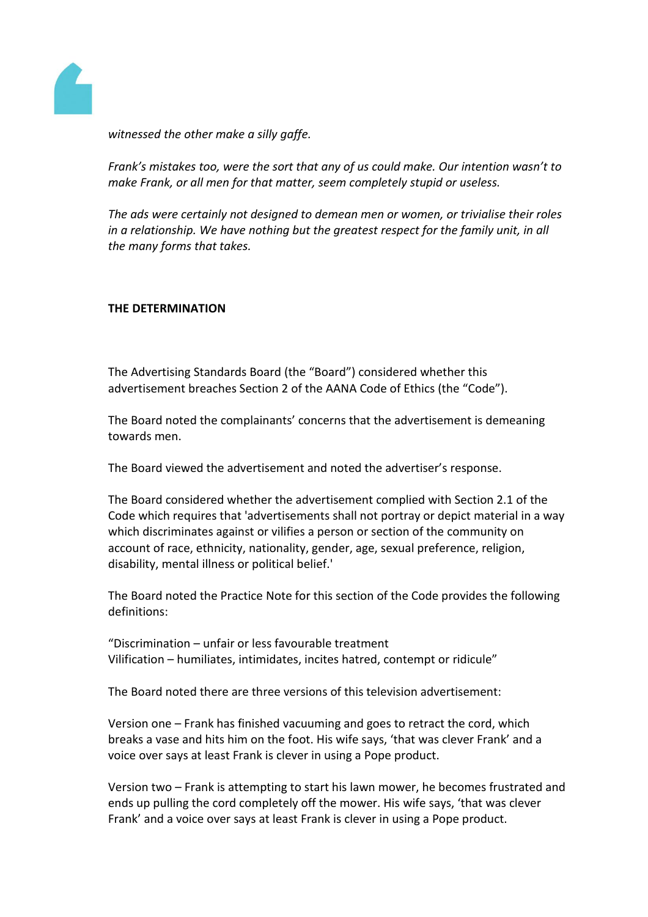

*witnessed the other make a silly gaffe.*

*Frank's mistakes too, were the sort that any of us could make. Our intention wasn't to make Frank, or all men for that matter, seem completely stupid or useless.* 

*The ads were certainly not designed to demean men or women, or trivialise their roles in a relationship. We have nothing but the greatest respect for the family unit, in all the many forms that takes.*

## **THE DETERMINATION**

The Advertising Standards Board (the "Board") considered whether this advertisement breaches Section 2 of the AANA Code of Ethics (the "Code").

The Board noted the complainants' concerns that the advertisement is demeaning towards men.

The Board viewed the advertisement and noted the advertiser's response.

The Board considered whether the advertisement complied with Section 2.1 of the Code which requires that 'advertisements shall not portray or depict material in a way which discriminates against or vilifies a person or section of the community on account of race, ethnicity, nationality, gender, age, sexual preference, religion, disability, mental illness or political belief.'

The Board noted the Practice Note for this section of the Code provides the following definitions:

"Discrimination – unfair or less favourable treatment Vilification – humiliates, intimidates, incites hatred, contempt or ridicule"

The Board noted there are three versions of this television advertisement:

Version one – Frank has finished vacuuming and goes to retract the cord, which breaks a vase and hits him on the foot. His wife says, 'that was clever Frank' and a voice over says at least Frank is clever in using a Pope product.

Version two – Frank is attempting to start his lawn mower, he becomes frustrated and ends up pulling the cord completely off the mower. His wife says, 'that was clever Frank' and a voice over says at least Frank is clever in using a Pope product.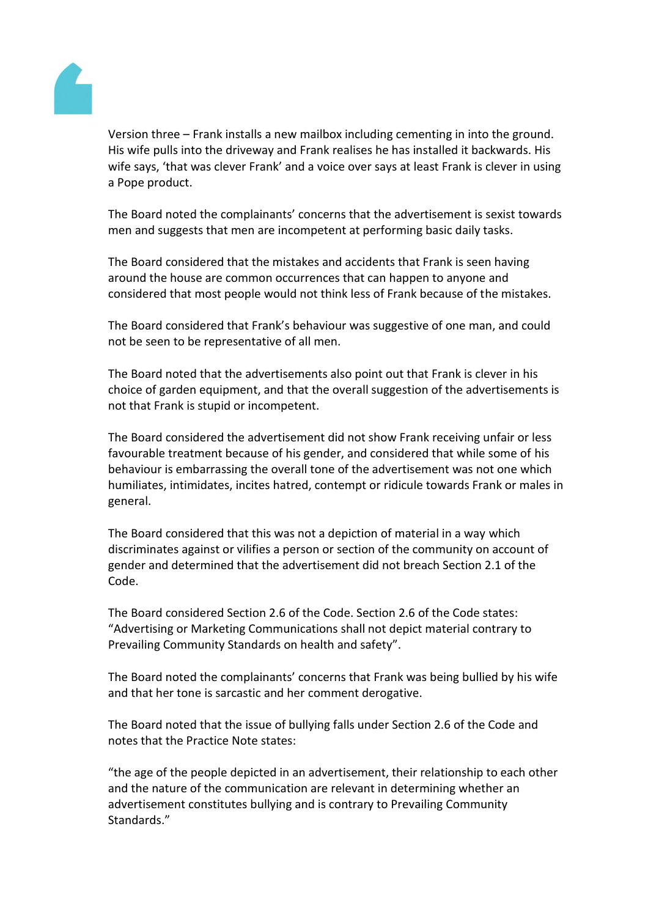

Version three – Frank installs a new mailbox including cementing in into the ground. His wife pulls into the driveway and Frank realises he has installed it backwards. His wife says, 'that was clever Frank' and a voice over says at least Frank is clever in using a Pope product.

The Board noted the complainants' concerns that the advertisement is sexist towards men and suggests that men are incompetent at performing basic daily tasks.

The Board considered that the mistakes and accidents that Frank is seen having around the house are common occurrences that can happen to anyone and considered that most people would not think less of Frank because of the mistakes.

The Board considered that Frank's behaviour was suggestive of one man, and could not be seen to be representative of all men.

The Board noted that the advertisements also point out that Frank is clever in his choice of garden equipment, and that the overall suggestion of the advertisements is not that Frank is stupid or incompetent.

The Board considered the advertisement did not show Frank receiving unfair or less favourable treatment because of his gender, and considered that while some of his behaviour is embarrassing the overall tone of the advertisement was not one which humiliates, intimidates, incites hatred, contempt or ridicule towards Frank or males in general.

The Board considered that this was not a depiction of material in a way which discriminates against or vilifies a person or section of the community on account of gender and determined that the advertisement did not breach Section 2.1 of the Code.

The Board considered Section 2.6 of the Code. Section 2.6 of the Code states: "Advertising or Marketing Communications shall not depict material contrary to Prevailing Community Standards on health and safety".

The Board noted the complainants' concerns that Frank was being bullied by his wife and that her tone is sarcastic and her comment derogative.

The Board noted that the issue of bullying falls under Section 2.6 of the Code and notes that the Practice Note states:

"the age of the people depicted in an advertisement, their relationship to each other and the nature of the communication are relevant in determining whether an advertisement constitutes bullying and is contrary to Prevailing Community Standards."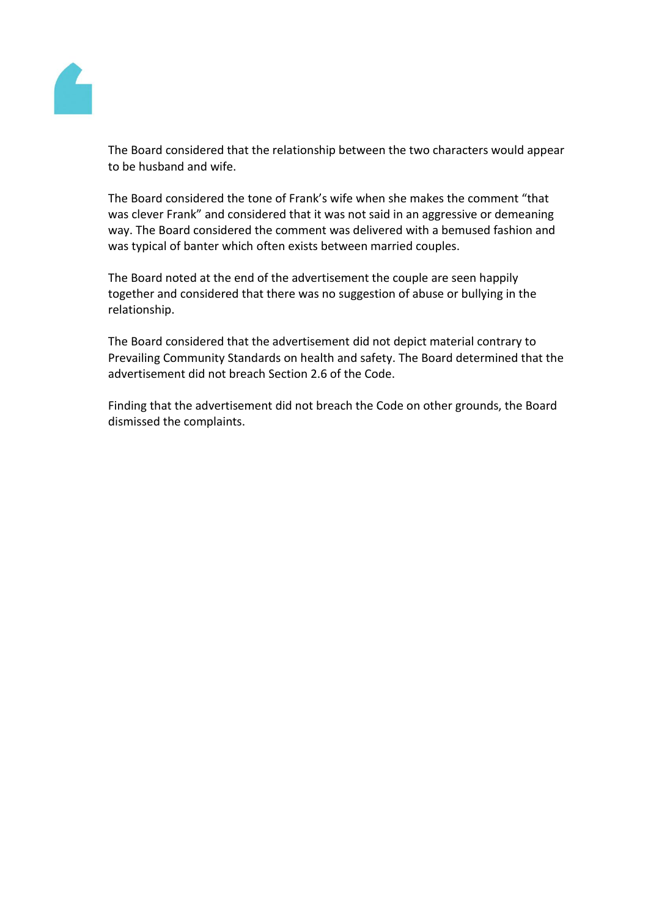

The Board considered that the relationship between the two characters would appear to be husband and wife.

The Board considered the tone of Frank's wife when she makes the comment "that was clever Frank" and considered that it was not said in an aggressive or demeaning way. The Board considered the comment was delivered with a bemused fashion and was typical of banter which often exists between married couples.

The Board noted at the end of the advertisement the couple are seen happily together and considered that there was no suggestion of abuse or bullying in the relationship.

The Board considered that the advertisement did not depict material contrary to Prevailing Community Standards on health and safety. The Board determined that the advertisement did not breach Section 2.6 of the Code.

Finding that the advertisement did not breach the Code on other grounds, the Board dismissed the complaints.